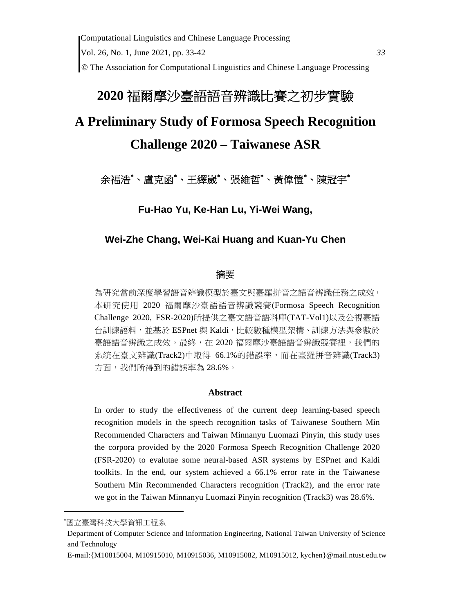# **2020** 福爾摩沙臺語語音辨識比賽之初步實驗

# **A Preliminary Study of Formosa Speech Recognition**

# **Challenge 2020 – Taiwanese ASR**

## 余福浩\*、盧克函\*、王繹崴\*、張維哲\*、黃偉愷\*、陳冠宇\*

**Fu-Hao Yu, Ke-Han Lu, Yi-Wei Wang,** 

### **Wei-Zhe Chang, Wei-Kai Huang and Kuan-Yu Chen**

#### 摘要

為研究當前深度學習語音辨識模型於臺文與臺羅拼音之語音辨識任務之成效, 本研究使用 2020 福爾摩沙臺語語音辨識競賽(Formosa Speech Recognition Challenge 2020, FSR-2020)所提供之臺文語音語料庫(TAT-Vol1)以及公視臺語 台訓練語料,並基於 ESPnet 與 Kaldi,比較數種模型架構、訓練方法與參數於 臺語語音辨識之成效。最終,在 2020 福爾摩沙臺語語音辨識競賽裡,我們的 系統在臺文辨識(Track2)中取得 66.1%的錯誤率,而在臺羅拼音辨識(Track3) 方面,我們所得到的錯誤率為 28.6%。

#### **Abstract**

In order to study the effectiveness of the current deep learning-based speech recognition models in the speech recognition tasks of Taiwanese Southern Min Recommended Characters and Taiwan Minnanyu Luomazi Pinyin, this study uses the corpora provided by the 2020 Formosa Speech Recognition Challenge 2020 (FSR-2020) to evalutae some neural-based ASR systems by ESPnet and Kaldi toolkits. In the end, our system achieved a 66.1% error rate in the Taiwanese Southern Min Recommended Characters recognition (Track2), and the error rate we got in the Taiwan Minnanyu Luomazi Pinyin recognition (Track3) was 28.6%.

國立臺灣科技大學資訊工程系

Department of Computer Science and Information Engineering, National Taiwan University of Science and Technology

E-mail:{M10815004, M10915010, M10915036, M10915082, M10915012, kychen}@mail.ntust.edu.tw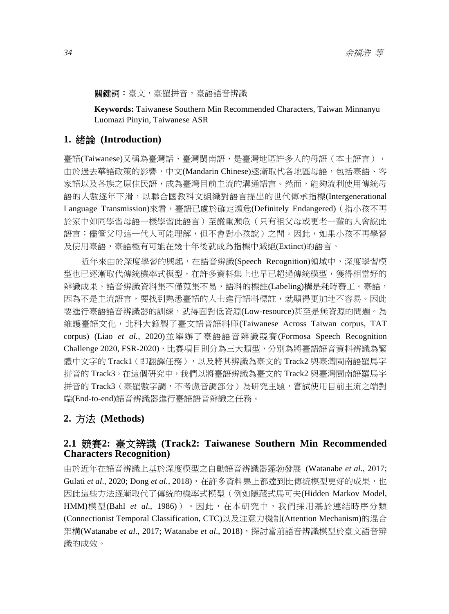#### **關鍵詞:**臺文,臺羅拼音,臺語語音辨識

**Keywords:** Taiwanese Southern Min Recommended Characters, Taiwan Minnanyu Luomazi Pinyin, Taiwanese ASR

### **1.** 緒論 **(Introduction)**

臺語(Taiwanese)又稱為臺灣話、臺灣閩南語,是臺灣地區許多人的母語(本土語言), 由於過去華語政策的影響,中文(Mandarin Chinese)逐漸取代各地區母語,包括臺語、客 家語以及各族之原住民語,成為臺灣目前主流的溝通語言。然而,能夠流利使用傳統母 語的人數逐年下滑,以聯合國教科文組織對語言提出的世代傳承指標(Intergenerational Language Transmission)來看,臺語已處於確定瀕危(Definitely Endangered) ( 指小孩不再 於家中如同學習母語一樣學習此語言)至嚴重瀕危(只有祖父母或更老一輩的人會說此 語言;儘管父母這一代人可能理解,但不會對小孩說)之間。因此,如果小孩不再學習 及使用臺語,臺語極有可能在幾十年後就成為指標中滅絕(Extinct)的語言。

近年來由於深度學習的興起,在語音辨識(Speech Recognition)領域中,深度學習模 型也已逐漸取代傳統機率式模型,在許多資料集上也早已超過傳統模型,獲得相當好的 辨識成果。語音辨識資料集不僅蒐集不易,語料的標註(Labeling)構是耗時費工。臺語, 因為不是主流語言,要找到熟悉臺語的人士進行語料標註,就顯得更加地不容易。因此 要進行臺語語音辨識器的訓練,就得面對低資源(Low-resource)甚至是無資源的問題。為 維護臺語文化,北科大錄製了臺文語音語料庫(Taiwanese Across Taiwan corpus, TAT corpus) (Liao *et al.*, 2020)並舉辦了臺語語音辨識競賽(Formosa Speech Recognition Challenge 2020, FSR-2020), 比賽項目則分為三大類型, 分別為將臺語語音資料辨識為繁 體中文字的 Track1 ( 即翻譯任務 ) ,以及將其辨識為臺文的 Track2 與臺灣閩南語羅馬字 拼音的 Track3。在這個研究中,我們以將臺語辨識為臺文的 Track2 與臺灣閩南語羅馬字 拼音的 Track3 (臺羅數字調,不考慮音調部分) 為研究主題,嘗試使用目前主流之端對 端(End-to-end)語音辨識器進行臺語語音辨識之任務。

### **2.** 方法 **(Methods)**

### **2.1** 競賽**2:** 臺文辨識 **(Track2: Taiwanese Southern Min Recommended Characters Recognition)**

由於近年在語音辨識上基於深度模型之自動語音辨識器蓬勃發展 (Watanabe *et al*., 2017; Gulati *et al.*, 2020; Dong et al., 2018), 在許多資料集上都達到比傳統模型更好的成果, 也 因此這些方法逐漸取代了傳統的機率式模型(例如隱藏式馬可夫(Hidden Markov Model, HMM)模型(Bahl *et al*., 1986))。因此,在本研究中,我們採用基於連結時序分類 (Connectionist Temporal Classification, CTC)以及注意力機制(Attention Mechanism)的混合 架構(Watanabe *et al*., 2017; Watanabe *et al*., 2018),探討當前語音辨識模型於臺文語音辨 識的成效。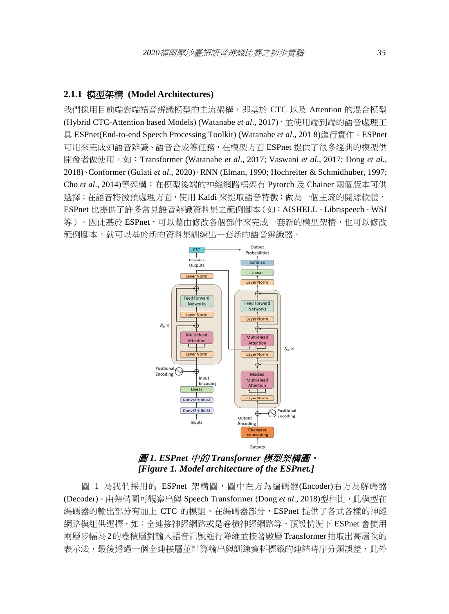### **2.1.1** 模型架構 **(Model Architectures)**

我們採用目前端對端語音辨識模型的主流架構,即基於 CTC 以及 Attention 的混合模型 (Hybrid CTC-Attention based Models) (Watanabe *et al.*, 2017), 並使用端到端的語音處理工 具 ESPnet(End-to-end Speech Processing Toolkit) (Watanabe *et al*., 201 8)進行實作。ESPnet 可用來完成如語音辨識、語音合成等任務,在模型方面 ESPnet 提供了很多經典的模型供 開發者做使用,如: Transformer (Watanabe *et al.*, 2017; Vaswani *et al.*, 2017; Dong *et al.*, 2018)、Conformer (Gulati *et al*., 2020)、RNN (Elman, 1990; Hochreiter & Schmidhuber, 1997; Cho *et al*., 2014)等架構;在模型後端的神經網路框架有 Pytorch 及 Chainer 兩個版本可供 選擇;在語音特徵預處理方面,使用 Kaldi 來提取語音特徵;做為一個主流的開源軟體, ESPnet 也提供了許多常見語音辨識資料集之範例腳本(如:AISHELL、Librispeech、WSJ 等)。因此基於 ESPnet,可以藉由修改各個部件來完成一套新的模型架構,也可以修改 範例腳本,就可以基於新的資料集訓練出一套新的語音辨識器。



圖 *1. ESPnet* 中的 *Transformer* 模型架構圖。  *[Figure 1. Model architecture of the ESPnet.]* 

圖 1 為我們採用的 ESPnet 架構圖,圖中左方為編碼器(Encoder)右方為解碼器 (Decoder)。由架構圖可觀察出與 Speech Transformer (Dong et al., 2018)型相比, 此模型在 編碼器的輸出部分有加上 CTC 的模組。在編碼器部分,ESPnet 提供了各式各樣的神經 網路模組供選擇,如:全連接神經網路或是卷積神經網路等,預設情況下 ESPnet 會使用 兩層步幅為2的卷積層對輸入語音訊號進行降維並接著數層 Transformer抽取出高層次的 表示法,最後透過一個全連接層並計算輸出與訓練資料標籤的連結時序分類誤差,此外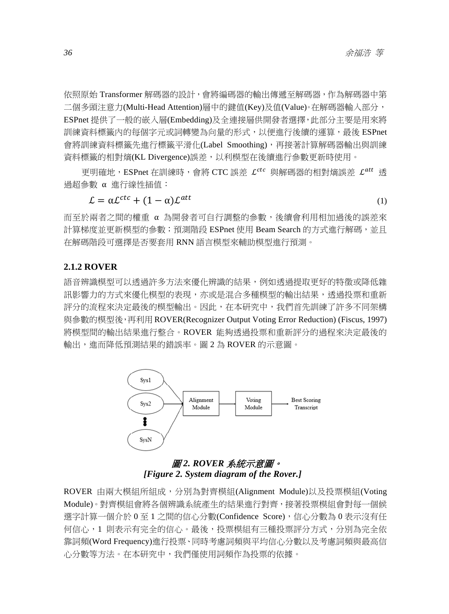依照原始 Transformer 解碼器的設計,會將編碼器的輸出傳遞至解碼器,作為解碼器中第 二個多頭注意力(Multi-Head Attention)層中的鍵值(Key)及值(Value)。在解碼器輸入部分, ESPnet 提供了一般的嵌入層(Embedding)及全連接層供開發者選擇,此部分主要是用來將 訓練資料標籤內的每個字元或詞轉變為向量的形式,以便進行後續的運算,最後 ESPnet 會將訓練資料標籤先進行標籤平滑化(Label Smoothing),再接著計算解碼器輸出與訓練 資料標籤的相對熵(KL Divergence)誤差,以利模型在後續進行參數更新時使用。

更明確地, ESPnet 在訓練時,會將 CTC 誤差  $\mathcal{L}^{ctc}$  與解碼器的相對熵誤差  $\mathcal{L}^{att}$  透 過超參數 α 進行線性插值:

$$
\mathcal{L} = \alpha \mathcal{L}^{ctc} + (1 - \alpha) \mathcal{L}^{att} \tag{1}
$$

而至於兩者之間的權重 α 為開發者可自行調整的參數,後續會利用相加過後的誤差來 計算梯度並更新模型的參數;預測階段 ESPnet 使用 Beam Search 的方式進行解碼,並且 在解碼階段可選擇是否要套用 RNN 語言模型來輔助模型進行預測。

#### **2.1.2 ROVER**

語音辨識模型可以透過許多方法來優化辨識的結果,例如透過提取更好的特徵或降低雜 訊影響力的方式來優化模型的表現,亦或是混合多種模型的輸出結果,透過投票和重新 評分的流程來決定最後的模型輸出。因此,在本研究中,我們首先訓練了許多不同架構 與參數的模型後,再利用 ROVER(Recognizer Output Voting Error Reduction) (Fiscus, 1997) 將模型間的輸出結果進行整合。ROVER 能夠透過投票和重新評分的過程來決定最後的 輸出,進而降低預測結果的錯誤率。圖 2 為 ROVER 的示意圖。



### 圖 *2. ROVER* 系統示意圖。 *[Figure 2. System diagram of the Rover.]*

ROVER 由兩大模組所組成,分別為對齊模組(Alignment Module)以及投票模組(Voting Module)。對齊模組會將各個辨識系統產生的結果進行對齊,接著投票模組會對每一個候 選字計算一個介於 0 至 1 之間的信心分數(Confidence Score),信心分數為 0 表示沒有任 何信心,1 則表示有完全的信心。最後,投票模組有三種投票評分方式,分別為完全依 靠詞頻(Word Frequency)進行投票、同時考慮詞頻與平均信心分數以及考慮詞頻與最高信 心分數等方法。在本研究中,我們僅使用詞頻作為投票的依據。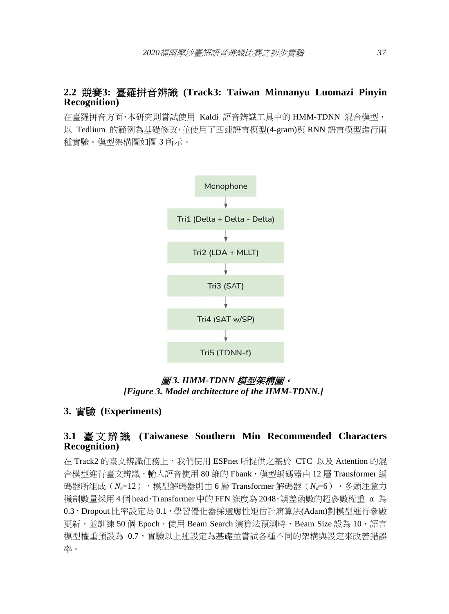### **2.2** 競賽**3:** 臺羅拼音辨識 **(Track3: Taiwan Minnanyu Luomazi Pinyin Recognition)**

在臺羅拼音方面,本研究則嘗試使用 Kaldi 語音辨識工具中的 HMM-TDNN 混合模型, 以 Tedlium 的範例為基礎修改,並使用了四連語言模型(4-gram)與 RNN 語言模型進行兩 種實驗。模型架構圖如圖 3 所示。



### 圖 *3. HMM-TDNN* 模型架構圖。 *[Figure 3. Model architecture of the HMM-TDNN.]*

### **3.** 實驗 **(Experiments)**

### **3.1** 臺文辨識 **(Taiwanese Southern Min Recommended Characters Recognition)**

在 Track2 的臺文辨識任務上,我們使用 ESPnet 所提供之基於 CTC 以及 Attention 的混 合模型進行臺文辨識,輸入語音使用 80 維的 Fbank,橫型編碼器由 12 層 Transformer 編 碼器所組成( $N_e=12$ ), 模型解碼器則由 6 層 Transformer 解碼器( $N_d=6$ ), 多頭注意力 機制數量採用 4個 head, Transformer 中的 FFN 維度為 2048,誤差函數的超參數權重 α為 0.3,Dropout 比率設定為 0.1,學習優化器採適應性矩估計演算法(Adam)對模型進行參數 更新,並訓練 50 個 Epoch,使用 Beam Search 演算法預測時,Beam Size 設為 10,語言 模型權重預設為 0.7,實驗以上述設定為基礎並嘗試各種不同的架構與設定來改善錯誤 率。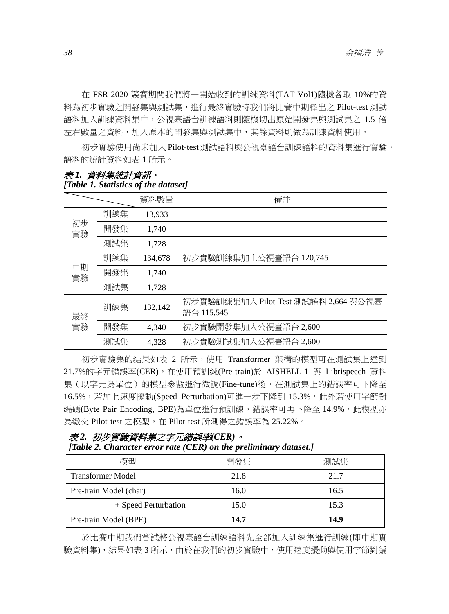在 FSR-2020 競賽期間我們將一開始收到的訓練資料(TAT-Vol1)隨機各取 10%的資 料為初步實驗之開發集與測試集,進行最終實驗時我們將比賽中期釋出之 Pilot-test 測試 語料加入訓練資料集中,公視臺語台訓練語料則隨機切出原始開發集與測試集之 1.5 倍 左右數量之資料,加入原本的開發集與測試集中,其餘資料則做為訓練資料使用。

初步實驗使用尚未加入 Pilot-test 測試語料與公視臺語台訓練語料的資料集進行實驗, 語料的統計資料如表 1 所示。

|          |     | 資料數量    | 備註                                                 |
|----------|-----|---------|----------------------------------------------------|
| 初步<br>實驗 | 訓練集 | 13,933  |                                                    |
|          | 開發集 | 1,740   |                                                    |
|          | 測試集 | 1,728   |                                                    |
| 中期<br>實驗 | 訓練集 | 134,678 | 初步實驗訓練集加上公視臺語台 120,745                             |
|          | 開發集 | 1,740   |                                                    |
|          | 測試集 | 1,728   |                                                    |
| 最終<br>實驗 | 訓練集 | 132,142 | 初步實驗訓練集加入 Pilot-Test 測試語料 2,664 與公視臺<br>語台 115,545 |
|          | 開發集 | 4,340   | 初步實驗開發集加入公視臺語台 2,600                               |
|          | 測試集 | 4,328   | 初步實驗測試集加入公視臺語台 2,600                               |

#### 表 *1.* 資料集統計資訊。 *[Table 1. Statistics of the dataset]*

初步實驗集的結果如表 2 所示,使用 Transformer 架構的模型可在測試集上達到 21.7%的字元錯誤率(CER),在使用預訓練(Pre-train)於 AISHELL-1 與 Librispeech 資料 集(以字元為單位)的模型參數進行微調(Fine-tune)後,在測試集上的錯誤率可下降至 16.5%,若加上速度擾動(Speed Perturbation)可進一步下降到 15.3%,此外若使用字節對 編碼(Byte Pair Encoding, BPE)為單位進行預訓練,錯誤率可再下降至 14.9%,此模型亦 為繳交 Pilot-test 之模型,在 Pilot-test 所測得之錯誤率為 25.22%。

### 表 *2.* 初步實驗資料集之字元錯誤率*(CER)*。 *[Table 2. Character error rate (CER) on the preliminary dataset.]*

| 樟型                       | 開發集  | 測試集  |
|--------------------------|------|------|
| <b>Transformer Model</b> | 21.8 | 21.7 |
| Pre-train Model (char)   | 16.0 | 16.5 |
| + Speed Perturbation     | 15.0 | 15.3 |
| Pre-train Model (BPE)    | 14.7 | 14.9 |

於比賽中期我們嘗試將公視臺語台訓練語料先全部加入訓練集進行訓練(即中期實 驗資料集),結果如表 3 所示,由於在我們的初步實驗中,使用速度擾動與使用字節對編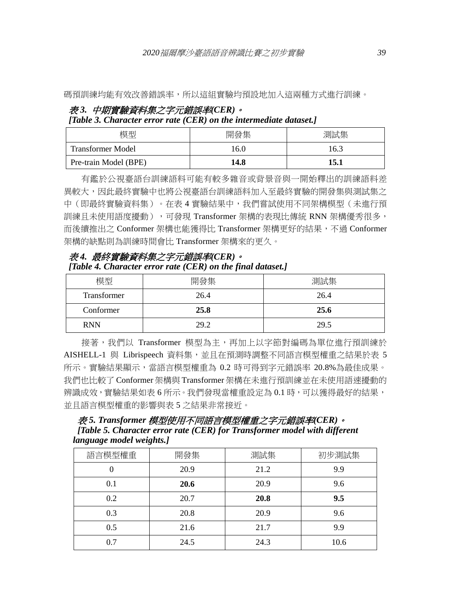碼預訓練均能有效改善錯誤率,所以這組實驗均預設地加入這兩種方式進行訓練。

# 表 *3.* 中期實驗資料集之字元錯誤率*(CER)*。

*[Table 3. Character error rate (CER) on the intermediate dataset.]* 

| 模型                       | 開發集  | 測試集  |
|--------------------------|------|------|
| <b>Transformer Model</b> | 16.0 | 16.3 |
| Pre-train Model (BPE)    | 14.8 | 15.1 |

有鑑於公視臺語台訓練語料可能有較多雜音或背景音與一開始釋出的訓練語料差 異較大,因此最終實驗中也將公視臺語台訓練語料加入至最終實驗的開發集與測試集之 中(即最終實驗資料集)。在表 4 實驗結果中,我們嘗試使用不同架構模型(未進行預 訓練且未使用語度擾動),可發現 Transformer 架構的表現比傳統 RNN 架構優秀很多, 而後續推出之 Conformer 架構也能獲得比 Transformer 架構更好的結果,不過 Conformer 架構的缺點則為訓練時間會比 Transformer 架構來的更久。

表 *4.* 最終實驗資料集之字元錯誤率*(CER)*。 *[Table 4. Character error rate (CER) on the final dataset.]* 

| 模型          | 開發集  | 測試集  |
|-------------|------|------|
| Transformer | 26.4 | 26.4 |
| Conformer   | 25.8 | 25.6 |
| <b>RNN</b>  | 29.2 | 29.5 |

接著,我們以 Transformer 模型為主,再加上以字節對編碼為單位進行預訓練於 AISHELL-1 與 Librispeech 資料集,並且在預測時調整不同語言模型權重之結果於表 5 所示。實驗結果顯示,當語言模型權重為 0.2 時可得到字元錯誤率 20.8%為最佳成果。 我們也比較了 Conformer 架構與 Transformer 架構在未進行預訓練並在未使用語速擾動的 辨識成效,實驗結果如表 6 所示。我們發現當權重設定為 0.1 時,可以獲得最好的結果, 並且語言模型權重的影響與表 5 之結果非常接近。

表 *5. Transformer* 模型使用不同語言模型權重之字元錯誤率*(CER)*。  *[Table 5. Character error rate (CER) for Transformer model with different language model weights.]* 

| 語言模型權重 | 開發集  | 測試集  | 初步測試集 |
|--------|------|------|-------|
|        | 20.9 | 21.2 | 9.9   |
| 0.1    | 20.6 | 20.9 | 9.6   |
| 0.2    | 20.7 | 20.8 | 9.5   |
| 0.3    | 20.8 | 20.9 | 9.6   |
| 0.5    | 21.6 | 21.7 | 9.9   |
| 0.7    | 24.5 | 24.3 | 10.6  |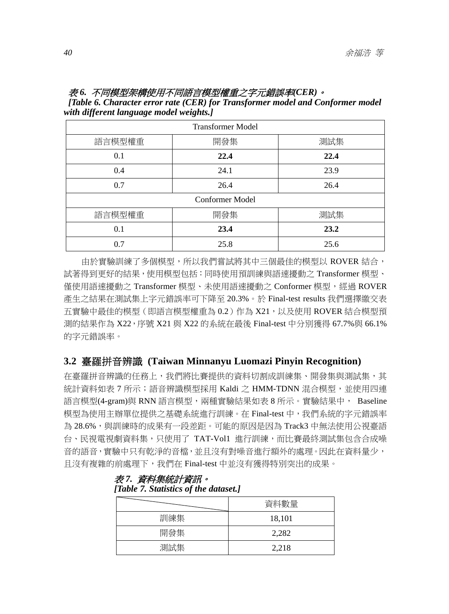### 表 *6.* 不同模型架構使用不同語言模型權重之字元錯誤率*(CER)*。

 *[Table 6. Character error rate (CER) for Transformer model and Conformer model with different language model weights.]* 

| <b>Transformer Model</b> |      |      |  |  |  |
|--------------------------|------|------|--|--|--|
| 語言模型權重                   | 開發集  | 測試集  |  |  |  |
| 0.1                      | 22.4 | 22.4 |  |  |  |
| 0.4                      | 24.1 | 23.9 |  |  |  |
| 0.7                      | 26.4 | 26.4 |  |  |  |
| Conformer Model          |      |      |  |  |  |
| 語言模型權重                   | 開發集  | 測試集  |  |  |  |
| 0.1                      | 23.4 | 23.2 |  |  |  |
| 0.7                      | 25.8 | 25.6 |  |  |  |

由於實驗訓練了多個模型,所以我們嘗試將其中三個最佳的模型以 ROVER 結合, 試著得到更好的結果,使用模型包括:同時使用預訓練與語速擾動之 Transformer 模型、 僅使用語速擾動之 Transformer 模型、未使用語速擾動之 Conformer 模型,經過 ROVER 產生之結果在測試集上字元錯誤率可下降至 20.3%。於 Final-test results 我們選擇繳交表 五實驗中最佳的模型(即語言模型權重為 0.2)作為 X21,以及使用 ROVER 結合模型預 測的結果作為 X22,序號 X21 與 X22 的系統在最後 Final-test 中分別獲得 67.7%與 66.1% 的字元錯誤率。

### **3.2** 臺羅拼音辨識 **(Taiwan Minnanyu Luomazi Pinyin Recognition)**

在臺羅拼音辨識的任務上,我們將比賽提供的資料切割成訓練集、開發集與測試集,其 統計資料如表 7 所示;語音辨識模型採用 Kaldi 之 HMM-TDNN 混合模型,並使用四連 語言模型(4-gram)與 RNN 語言模型,兩種實驗結果如表 8 所示。實驗結果中, Baseline 模型為使用主辦單位提供之基礎系統進行訓練。在 Final-test 中,我們系統的字元錯誤率 為 28.6%,與訓練時的成果有一段差距。可能的原因是因為 Track3 中無法使用公視臺語 台、民視電視劇資料集,只使用了 TAT-Vol1 進行訓練,而比賽最終測試集包含合成噪 音的語音,實驗中只有乾淨的音檔,並且沒有對噪音進行額外的處理。因此在資料量少, 且沒有複雜的前處理下,我們在 Final-test 中並沒有獲得特別突出的成果。

|     | 資料數量   |
|-----|--------|
| 訓練集 | 18,101 |
| 開發集 | 2,282  |
| 測試集 | 2,218  |

#### 表 *7.* 資料集統計資訊。  *[Table 7. Statistics of the dataset.]*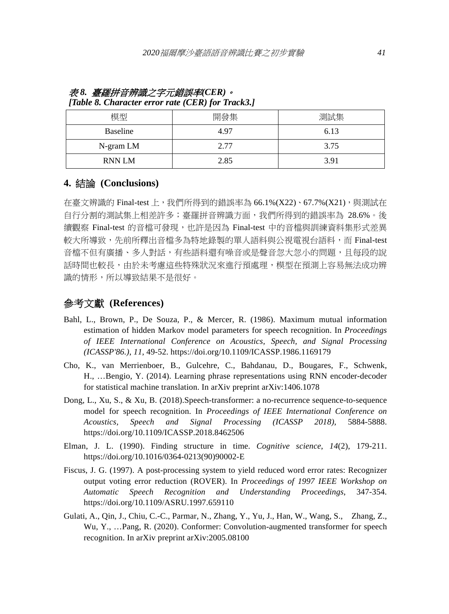| 模型            | 開發集  | 測試集  |
|---------------|------|------|
| Baseline      | 4.97 | 6.13 |
| N-gram LM     | 2.77 | 3.75 |
| <b>RNN LM</b> | 2.85 | 3.91 |

#### 表 *8.* 臺羅拼音辨識之字元錯誤率*(CER)*。 *[Table 8. Character error rate (CER) for Track3.]*

### **4.** 結論 **(Conclusions)**

在臺文辨識的 Final-test 上,我們所得到的錯誤率為 66.1%(X22)、67.7%(X21),與測試在 自行分割的測試集上相差許多;臺羅拼音辨識方面,我們所得到的錯誤率為 28.6%。後 續觀察 Final-test 的音檔可發現,也許是因為 Final-test 中的音檔與訓練資料集形式差異 較大所導致,先前所釋出音檔多為特地錄製的單人語料與公視電視台語料,而 Final-test 音檔不但有廣播、多人對話,有些語料還有噪音或是聲音忽大忽小的問題,且每段的說 話時間也較長,由於未考慮這些特殊狀況來進行預處理,模型在預測上容易無法成功辨 識的情形,所以導致結果不是很好。

### 參考文獻 **(References)**

- Bahl, L., Brown, P., De Souza, P., & Mercer, R. (1986). Maximum mutual information estimation of hidden Markov model parameters for speech recognition. In *Proceedings of IEEE International Conference on Acoustics, Speech, and Signal Processing (ICASSP'86.)*, *11*, 49-52. https://doi.org/10.1109/ICASSP.1986.1169179
- Cho, K., van Merrienboer, B., Gulcehre, C., Bahdanau, D., Bougares, F., Schwenk, H., …Bengio, Y. (2014). Learning phrase representations using RNN encoder-decoder for statistical machine translation. In arXiv preprint arXiv:1406.1078
- Dong, L., Xu, S., & Xu, B. (2018).Speech-transformer: a no-recurrence sequence-to-sequence model for speech recognition. In *Proceedings of IEEE International Conference on Acoustics, Speech and Signal Processing (ICASSP 2018)*, 5884-5888. https://doi.org/10.1109/ICASSP.2018.8462506
- Elman, J. L. (1990). Finding structure in time. *Cognitive science*, *14*(2), 179-211. https://doi.org/10.1016/0364-0213(90)90002-E
- Fiscus, J. G. (1997). A post-processing system to yield reduced word error rates: Recognizer output voting error reduction (ROVER). In *Proceedings of 1997 IEEE Workshop on Automatic Speech Recognition and Understanding Proceedings*, 347-354. https://doi.org/10.1109/ASRU.1997.659110
- Gulati, A., Qin, J., Chiu, C.-C., Parmar, N., Zhang, Y., Yu, J., Han, W., Wang, S., Zhang, Z., Wu, Y., …Pang, R. (2020). Conformer: Convolution-augmented transformer for speech recognition. In arXiv preprint arXiv:2005.08100